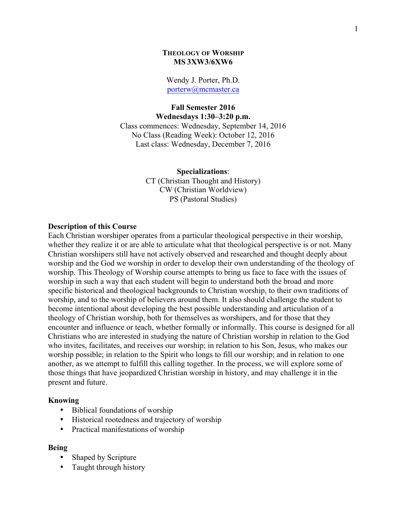## **THEOLOGY OF WORSHIP MS 3XW3/6XW6**

Wendy J. Porter, Ph.D. porterw@mcmaster.ca

#### **Fall Semester 2016 Wednesdays 1:30–3:20 p.m.**

Class commences: Wednesday, September 14, 2016 No Class (Reading Week): October 12, 2016 Last class: Wednesday, December 7, 2016

> **Specializations**: CT (Christian Thought and History) CW (Christian Worldview) PS (Pastoral Studies)

#### **Description of this Course**

Each Christian worshiper operates from a particular theological perspective in their worship, whether they realize it or are able to articulate what that theological perspective is or not. Many Christian worshipers still have not actively observed and researched and thought deeply about worship and the God we worship in order to develop their own understanding of the theology of worship. This Theology of Worship course attempts to bring us face to face with the issues of worship in such a way that each student will begin to understand both the broad and more specific historical and theological backgrounds to Christian worship, to their own traditions of worship, and to the worship of believers around them. It also should challenge the student to become intentional about developing the best possible understanding and articulation of a theology of Christian worship, both for themselves as worshipers, and for those that they encounter and influence or teach, whether formally or informally. This course is designed for all Christians who are interested in studying the nature of Christian worship in relation to the God who invites, facilitates, and receives our worship; in relation to his Son, Jesus, who makes our worship possible; in relation to the Spirit who longs to fill our worship; and in relation to one another, as we attempt to fulfill this calling together. In the process, we will explore some of those things that have jeopardized Christian worship in history, and may challenge it in the present and future.

### **Knowing**

- Biblical foundations of worship
- Historical rootedness and trajectory of worship
- Practical manifestations of worship

### **Being**

- Shaped by Scripture
- Taught through history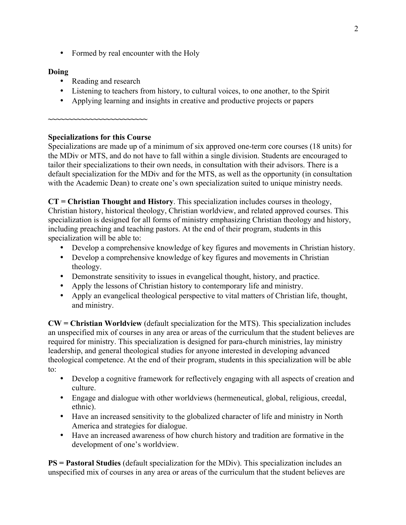• Formed by real encounter with the Holy

# **Doing**

- Reading and research
- Listening to teachers from history, to cultural voices, to one another, to the Spirit
- Applying learning and insights in creative and productive projects or papers

# **Specializations for this Course**

**~~~~~~~~~~~~~~~~~~~~~~~~**

Specializations are made up of a minimum of six approved one-term core courses (18 units) for the MDiv or MTS, and do not have to fall within a single division. Students are encouraged to tailor their specializations to their own needs, in consultation with their advisors. There is a default specialization for the MDiv and for the MTS, as well as the opportunity (in consultation with the Academic Dean) to create one's own specialization suited to unique ministry needs.

**CT = Christian Thought and History**. This specialization includes courses in theology, Christian history, historical theology, Christian worldview, and related approved courses. This specialization is designed for all forms of ministry emphasizing Christian theology and history, including preaching and teaching pastors. At the end of their program, students in this specialization will be able to:

- Develop a comprehensive knowledge of key figures and movements in Christian history.
- Develop a comprehensive knowledge of key figures and movements in Christian theology.
- Demonstrate sensitivity to issues in evangelical thought, history, and practice.
- Apply the lessons of Christian history to contemporary life and ministry.
- Apply an evangelical theological perspective to vital matters of Christian life, thought, and ministry.

**CW = Christian Worldview** (default specialization for the MTS). This specialization includes an unspecified mix of courses in any area or areas of the curriculum that the student believes are required for ministry. This specialization is designed for para-church ministries, lay ministry leadership, and general theological studies for anyone interested in developing advanced theological competence. At the end of their program, students in this specialization will be able to:

- Develop a cognitive framework for reflectively engaging with all aspects of creation and culture.
- Engage and dialogue with other worldviews (hermeneutical, global, religious, creedal, ethnic).
- Have an increased sensitivity to the globalized character of life and ministry in North America and strategies for dialogue.
- Have an increased awareness of how church history and tradition are formative in the development of one's worldview.

**PS = Pastoral Studies** (default specialization for the MDiv). This specialization includes an unspecified mix of courses in any area or areas of the curriculum that the student believes are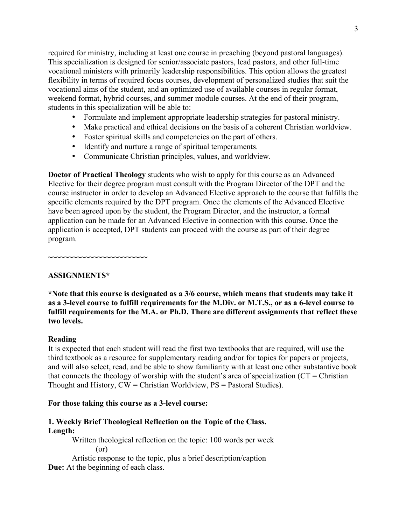required for ministry, including at least one course in preaching (beyond pastoral languages). This specialization is designed for senior/associate pastors, lead pastors, and other full-time vocational ministers with primarily leadership responsibilities. This option allows the greatest flexibility in terms of required focus courses, development of personalized studies that suit the vocational aims of the student, and an optimized use of available courses in regular format, weekend format, hybrid courses, and summer module courses. At the end of their program, students in this specialization will be able to:

- Formulate and implement appropriate leadership strategies for pastoral ministry.
- Make practical and ethical decisions on the basis of a coherent Christian worldview.
- Foster spiritual skills and competencies on the part of others.
- Identify and nurture a range of spiritual temperaments.
- Communicate Christian principles, values, and worldview.

**Doctor of Practical Theology** students who wish to apply for this course as an Advanced Elective for their degree program must consult with the Program Director of the DPT and the course instructor in order to develop an Advanced Elective approach to the course that fulfills the specific elements required by the DPT program. Once the elements of the Advanced Elective have been agreed upon by the student, the Program Director, and the instructor, a formal application can be made for an Advanced Elective in connection with this course. Once the application is accepted, DPT students can proceed with the course as part of their degree program.

**~~~~~~~~~~~~~~~~~~~~~~~~**

## **ASSIGNMENTS\***

**\*Note that this course is designated as a 3/6 course, which means that students may take it as a 3-level course to fulfill requirements for the M.Div. or M.T.S., or as a 6-level course to fulfill requirements for the M.A. or Ph.D. There are different assignments that reflect these two levels.** 

## **Reading**

It is expected that each student will read the first two textbooks that are required, will use the third textbook as a resource for supplementary reading and/or for topics for papers or projects, and will also select, read, and be able to show familiarity with at least one other substantive book that connects the theology of worship with the student's area of specialization ( $CT =$ Christian Thought and History, CW = Christian Worldview, PS = Pastoral Studies).

## **For those taking this course as a 3-level course:**

# **1. Weekly Brief Theological Reflection on the Topic of the Class. Length:**

Written theological reflection on the topic: 100 words per week (or)

Artistic response to the topic, plus a brief description/caption **Due:** At the beginning of each class.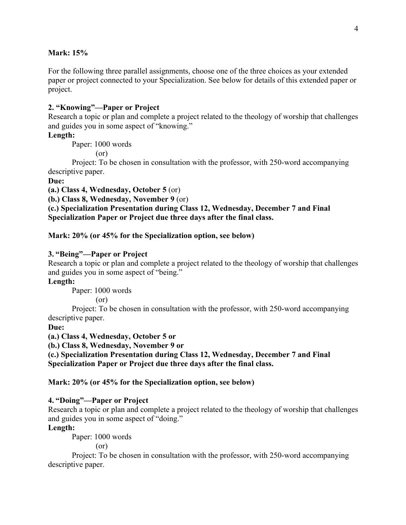## **Mark: 15%**

For the following three parallel assignments, choose one of the three choices as your extended paper or project connected to your Specialization. See below for details of this extended paper or project.

## **2. "Knowing"—Paper or Project**

Research a topic or plan and complete a project related to the theology of worship that challenges and guides you in some aspect of "knowing."

# **Length:**

Paper: 1000 words

(or)

Project: To be chosen in consultation with the professor, with 250-word accompanying descriptive paper.

## **Due:**

**(a.) Class 4, Wednesday, October 5** (or)

**(b.) Class 8, Wednesday, November 9** (or)

**(c.) Specialization Presentation during Class 12, Wednesday, December 7 and Final Specialization Paper or Project due three days after the final class.** 

#### **Mark: 20% (or 45% for the Specialization option, see below)**

#### **3. "Being"—Paper or Project**

Research a topic or plan and complete a project related to the theology of worship that challenges and guides you in some aspect of "being."

## **Length:**

Paper: 1000 words

(or)

Project: To be chosen in consultation with the professor, with 250-word accompanying descriptive paper.

#### **Due:**

**(a.) Class 4, Wednesday, October 5 or** 

**(b.) Class 8, Wednesday, November 9 or** 

**(c.) Specialization Presentation during Class 12, Wednesday, December 7 and Final Specialization Paper or Project due three days after the final class.** 

## **Mark: 20% (or 45% for the Specialization option, see below)**

### **4. "Doing"—Paper or Project**

Research a topic or plan and complete a project related to the theology of worship that challenges and guides you in some aspect of "doing."

#### **Length:**

Paper: 1000 words

(or)

Project: To be chosen in consultation with the professor, with 250-word accompanying descriptive paper.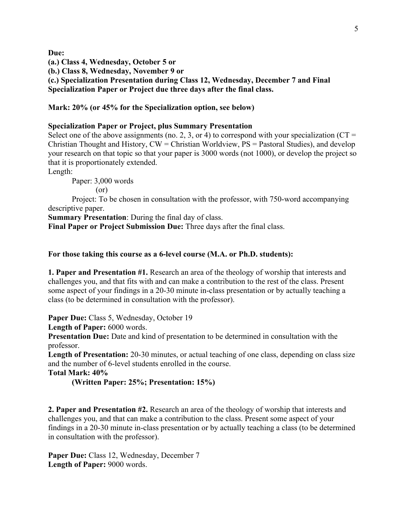**Due:** 

**(a.) Class 4, Wednesday, October 5 or** 

**(b.) Class 8, Wednesday, November 9 or** 

**(c.) Specialization Presentation during Class 12, Wednesday, December 7 and Final Specialization Paper or Project due three days after the final class.** 

**Mark: 20% (or 45% for the Specialization option, see below)**

## **Specialization Paper or Project, plus Summary Presentation**

Select one of the above assignments (no. 2, 3, or 4) to correspond with your specialization ( $CT =$ Christian Thought and History, CW = Christian Worldview, PS = Pastoral Studies), and develop your research on that topic so that your paper is 3000 words (not 1000), or develop the project so that it is proportionately extended.

Length:

Paper: 3,000 words

(or)

Project: To be chosen in consultation with the professor, with 750-word accompanying descriptive paper.

**Summary Presentation**: During the final day of class.

**Final Paper or Project Submission Due:** Three days after the final class.

## **For those taking this course as a 6-level course (M.A. or Ph.D. students):**

**1. Paper and Presentation #1.** Research an area of the theology of worship that interests and challenges you, and that fits with and can make a contribution to the rest of the class. Present some aspect of your findings in a 20-30 minute in-class presentation or by actually teaching a class (to be determined in consultation with the professor).

Paper Due: Class 5, Wednesday, October 19

Length of Paper: 6000 words.

**Presentation Due:** Date and kind of presentation to be determined in consultation with the professor.

**Length of Presentation:** 20-30 minutes, or actual teaching of one class, depending on class size and the number of 6-level students enrolled in the course.

**Total Mark: 40%**

**(Written Paper: 25%; Presentation: 15%)**

**2. Paper and Presentation #2.** Research an area of the theology of worship that interests and challenges you, and that can make a contribution to the class. Present some aspect of your findings in a 20-30 minute in-class presentation or by actually teaching a class (to be determined in consultation with the professor).

Paper Due: Class 12, Wednesday, December 7 Length of Paper: 9000 words.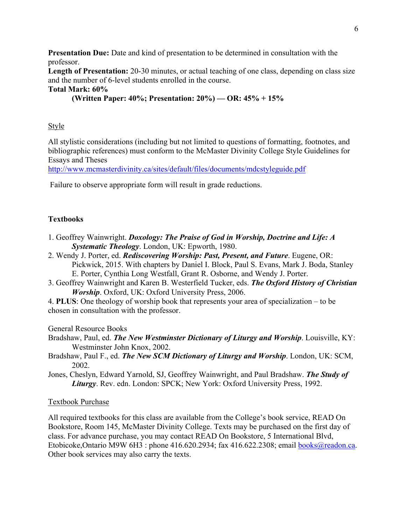**Presentation Due:** Date and kind of presentation to be determined in consultation with the professor.

Length of Presentation: 20-30 minutes, or actual teaching of one class, depending on class size and the number of 6-level students enrolled in the course.

# **Total Mark: 60%**

**(Written Paper: 40%; Presentation: 20%) — OR: 45% + 15%**

# **Style**

All stylistic considerations (including but not limited to questions of formatting, footnotes, and bibliographic references) must conform to the McMaster Divinity College Style Guidelines for Essays and Theses

http://www.mcmasterdivinity.ca/sites/default/files/documents/mdcstyleguide.pdf

Failure to observe appropriate form will result in grade reductions.

# **Textbooks**

- 1. Geoffrey Wainwright. *Doxology: The Praise of God in Worship, Doctrine and Life: A Systematic Theology*. London, UK: Epworth, 1980.
- 2. Wendy J. Porter, ed. *Rediscovering Worship: Past, Present, and Future*. Eugene, OR: Pickwick, 2015. With chapters by Daniel I. Block, Paul S. Evans, Mark J. Boda, Stanley E. Porter, Cynthia Long Westfall, Grant R. Osborne, and Wendy J. Porter.
- 3. Geoffrey Wainwright and Karen B. Westerfield Tucker, eds. *The Oxford History of Christian Worship*. Oxford, UK: Oxford University Press, 2006.
- 4. **PLUS**: One theology of worship book that represents your area of specialization to be chosen in consultation with the professor.

General Resource Books

- Bradshaw, Paul, ed. *The New Westminster Dictionary of Liturgy and Worship*. Louisville, KY: Westminster John Knox, 2002.
- Bradshaw, Paul F., ed. *The New SCM Dictionary of Liturgy and Worship*. London, UK: SCM, 2002.
- Jones, Cheslyn, Edward Yarnold, SJ, Geoffrey Wainwright, and Paul Bradshaw. *The Study of Liturgy*. Rev. edn. London: SPCK; New York: Oxford University Press, 1992.

# Textbook Purchase

All required textbooks for this class are available from the College's book service, READ On Bookstore, Room 145, McMaster Divinity College. Texts may be purchased on the first day of class. For advance purchase, you may contact READ On Bookstore, 5 International Blvd, Etobicoke, Ontario M9W 6H3 : phone 416.620.2934; fax 416.622.2308; email books@readon.ca. Other book services may also carry the texts.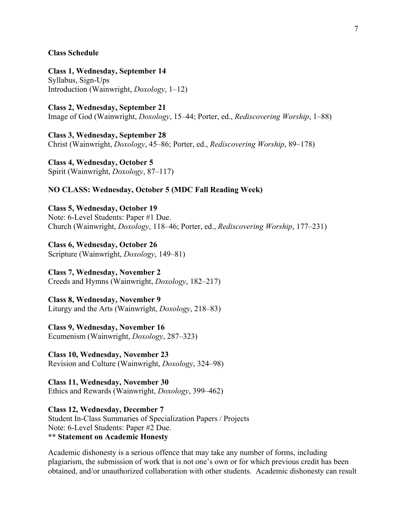#### **Class Schedule**

**Class 1, Wednesday, September 14** Syllabus, Sign-Ups Introduction (Wainwright, *Doxology*, 1–12)

**Class 2, Wednesday, September 21** Image of God (Wainwright, *Doxology*, 15–44; Porter, ed., *Rediscovering Worship*, 1–88)

**Class 3, Wednesday, September 28** Christ (Wainwright, *Doxology*, 45–86; Porter, ed., *Rediscovering Worship*, 89–178)

**Class 4, Wednesday, October 5** Spirit (Wainwright, *Doxology*, 87–117)

### **NO CLASS: Wednesday, October 5 (MDC Fall Reading Week)**

**Class 5, Wednesday, October 19** Note: 6-Level Students: Paper #1 Due. Church (Wainwright, *Doxology*, 118–46; Porter, ed., *Rediscovering Worship*, 177–231)

**Class 6, Wednesday, October 26** Scripture (Wainwright, *Doxology*, 149–81)

# **Class 7, Wednesday, November 2**

Creeds and Hymns (Wainwright, *Doxology*, 182–217)

**Class 8, Wednesday, November 9** Liturgy and the Arts (Wainwright, *Doxology*, 218–83)

**Class 9, Wednesday, November 16** Ecumenism (Wainwright, *Doxology*, 287–323)

**Class 10, Wednesday, November 23** Revision and Culture (Wainwright, *Doxology*, 324–98)

**Class 11, Wednesday, November 30** Ethics and Rewards (Wainwright, *Doxology*, 399–462)

**Class 12, Wednesday, December 7** Student In-Class Summaries of Specialization Papers / Projects Note: 6-Level Students: Paper #2 Due. **\*\* Statement on Academic Honesty**

Academic dishonesty is a serious offence that may take any number of forms, including plagiarism, the submission of work that is not one's own or for which previous credit has been obtained, and/or unauthorized collaboration with other students. Academic dishonesty can result